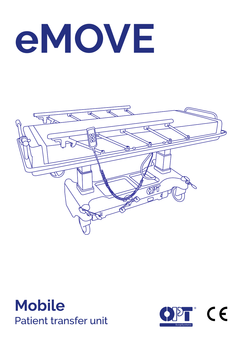# **eMOVE**





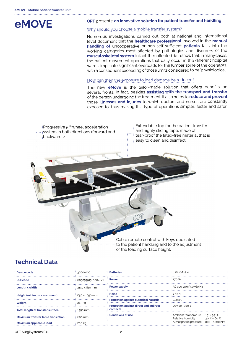

### **OPT** presents: **an innovative solution for patient transfer and handling!**

## Why should you choose a mobile transfer system?

Numerous investigations carried out both at national and international level document that the **healthcare professional** involved in the **manual handling of** uncooperative or non-self-sufficient **patients** falls into the working categories most affected by pathologies and disorders of the **musculoskeletal system**. In fact, the collected data show that, in many cases, the patient movement operations that daily occur in the different hospital wards, implicate significant overloads for the lumbar spine of the operators, with a consequent exceeding of those limits considered to be 'physiological'.

## How can then the exposure to load damage be reduced?

The new **eMove** is the tailor-made solution that offers benefits on several fronts. In fact, besides **assisting with the transport and transfer** of the person undergoing the treatment, it also helps to **reduce and prevent** those **illnesses and injuries** to which doctors and nurses are constantly exposed to, thus making this type of operations simpler, faster and safer.



# **Technical Data**

| : Device code                                  | $: 3800 - 000$                                      | <b>∷ Batteries</b>                                        | $(12V.20Ah)$ x2                                                                                                                                      |
|------------------------------------------------|-----------------------------------------------------|-----------------------------------------------------------|------------------------------------------------------------------------------------------------------------------------------------------------------|
| : UDI code                                     | $\frac{1}{2}$ 805053913-0004-VX $\frac{1}{2}$ Power |                                                           | $\frac{1}{2}$ 270 W                                                                                                                                  |
| $\therefore$ Length x width                    | :2140 x 810 mm                                      | $\therefore$ Power supply                                 | $\div$ AC 100-240V 50/60 Hz                                                                                                                          |
| Height (minimum + maximum)                     | $650 \div 1050$ mm                                  | <b>Noise</b>                                              | $\frac{1}{2}$ < 55 dB                                                                                                                                |
|                                                |                                                     | <b>Protection against electrical hazards</b>              | $\therefore$ Class 1                                                                                                                                 |
| $\therefore$ Weight                            | 285 kg                                              | <b>Protection against direct and indirect</b><br>contacts | $\frac{1}{2}$ Device Type B                                                                                                                          |
| $\frac{1}{2}$ Total length of transfer surface | $\cdot$ 1950 mm                                     |                                                           |                                                                                                                                                      |
| $\,$ Maximum transfer table translation        | $\frac{1}{2}$ 600 mm                                | $\cdot$ Conditions of use                                 | Ambient temperature<br>$15^\circ \div 35^\circ$ °C<br>: Relative humidity $30\% \div 60\%$<br>$\frac{1}{2}$ Atmospheric pressure 800 $\div$ 1060 hPa |
| Maximum applicable load                        | : 200 kg                                            |                                                           |                                                                                                                                                      |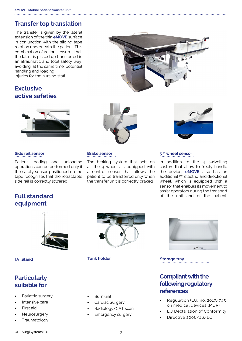## **Transfer top translation**

The transfer is given by the lateral extension of the thin **eMOVE** surface in conjunction with the sliding tape rotation underneath the patient. This combination of actions ensures that the latter is picked up transferred in an atraumatic and total safety way, avoiding, at the same time, potential handling and loading injuries for the nursing staff.

# **Exclusive active safeties**



Patient loading and unloading operations can be performed only if the safety sensor positioned on the tape recognises that the retractable side rail is correctly lowered.







The braking system that acts on all the 4 wheels is equipped with a control sensor that allows the patient to be transferred only when the transfer unit is correctly braked.

## **Side rail sensor Brake sensor 5 th wheel sensor**

In addition to the 4 swivelling castors that allow to freely handle the device, **eMOVE** also has an additional 5<sup>th</sup> electric and directional wheel, which is equipped with a sensor that enables its movement to assist operators during the transport of the unit and of the patient.

## **Full standard equipment**



# **Particularly suitable for**

- Bariatric surgery
- Intensive care
- First aid
- **Neurosurgery**
- **Traumatology**



**I.V. Stand Tank holder Tank holder Storage tray** 

- Burn unit
- Cardiac Surgery
- Radiology/CAT scan
- Emergency surgery



## **Compliant with the following regulatory references**

- Regulation (EU) no. 2017/745 on medical devices (MDR)
- **EU Declaration of Conformity**
- Directive 2006/46/EC